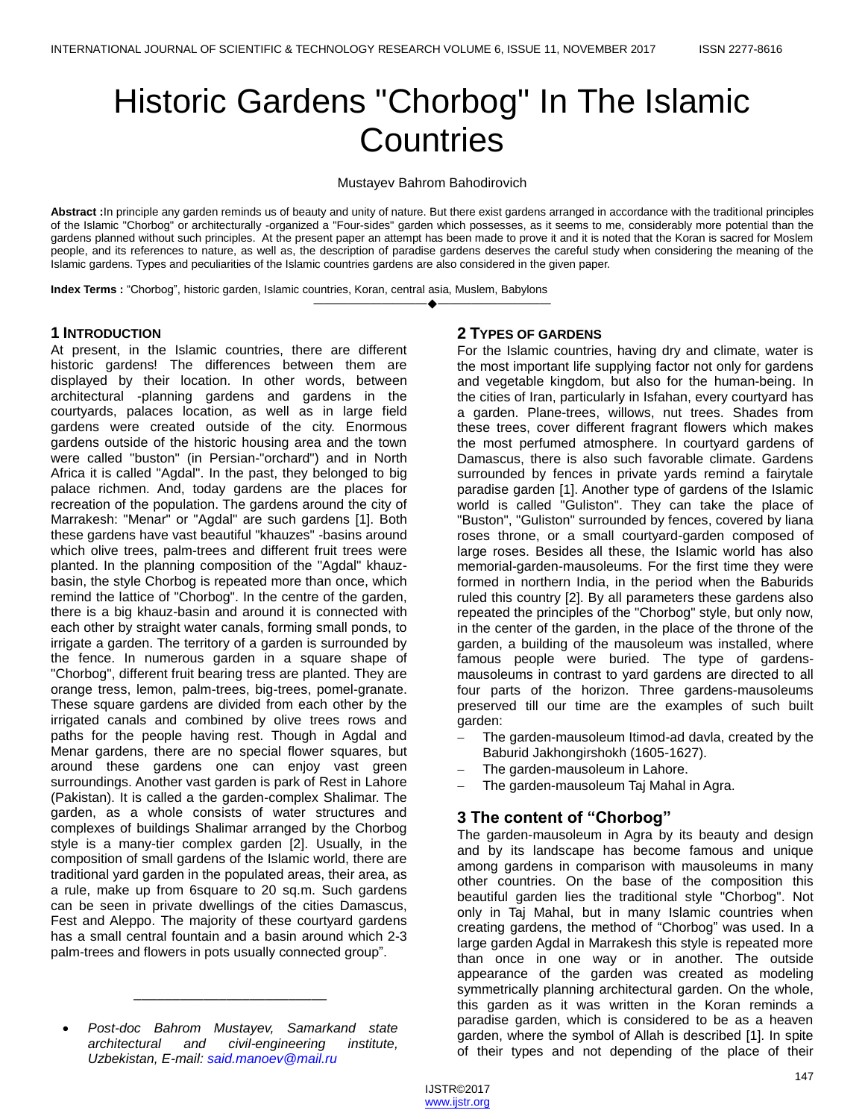# Historic Gardens "Chorbog" In The Islamic **Countries**

Mustayev Bahrom Bahodirovich

**Abstract :**In principle any garden reminds us of beauty and unity of nature. But there exist gardens arranged in accordance with the traditional principles of the Islamic "Chorbog" or architecturally -organized a "Four-sides" garden which possesses, as it seems to me, considerably more potential than the gardens planned without such principles. At the present paper an attempt has been made to prove it and it is noted that the Koran is sacred for Moslem people, and its references to nature, as well as, the description of paradise gardens deserves the careful study when considering the meaning of the Islamic gardens. Types and peculiarities of the Islamic countries gardens are also considered in the given paper.

————————————————————

**Index Terms :** "Chorbog", historic garden, Islamic countries, Koran, central asia, Muslem, Babylons

#### **1 INTRODUCTION**

At present, in the Islamic countries, there are different historic gardens! The differences between them are displayed by their location. In other words, between architectural -planning gardens and gardens in the courtyards, palaces location, as well as in large field gardens were created outside of the city. Enormous gardens outside of the historic housing area and the town were called "buston" (in Persian-"orchard") and in North Africa it is called "Agdal". In the past, they belonged to big palace richmen. And, today gardens are the places for recreation of the population. The gardens around the city of Marrakesh: "Menar" or "Agdal" are such gardens [1]. Both these gardens have vast beautiful "khauzes" -basins around which olive trees, palm-trees and different fruit trees were planted. In the planning composition of the "Agdal" khauzbasin, the style Chorbog is repeated more than once, which remind the lattice of "Chorbog". In the centre of the garden, there is a big khauz-basin and around it is connected with each other by straight water canals, forming small ponds, to irrigate a garden. The territory of a garden is surrounded by the fence. In numerous garden in a square shape of "Chorbog", different fruit bearing tress are planted. They are orange tress, lemon, palm-trees, big-trees, pomel-granate. These square gardens are divided from each other by the irrigated canals and combined by olive trees rows and paths for the people having rest. Though in Agdal and Menar gardens, there are no special flower squares, but around these gardens one can enjoy vast green surroundings. Another vast garden is park of Rest in Lahore (Pakistan). It is called a the garden-complex Shalimar. The garden, as a whole consists of water structures and complexes of buildings Shalimar arranged by the Chorbog style is a many-tier complex garden [2]. Usually, in the composition of small gardens of the Islamic world, there are traditional yard garden in the populated areas, their area, as a rule, make up from 6square to 20 sq.m. Such gardens can be seen in private dwellings of the cities Damascus, Fest and Aleppo. The majority of these courtyard gardens has a small central fountain and a basin around which 2-3 palm-trees and flowers in pots usually connected group".

\_\_\_\_\_\_\_\_\_\_\_\_\_\_\_\_\_\_\_\_\_\_\_\_\_

## **2 TYPES OF GARDENS**

For the Islamic countries, having dry and climate, water is the most important life supplying factor not only for gardens and vegetable kingdom, but also for the human-being. In the cities of Iran, particularly in Isfahan, every courtyard has a garden. Plane-trees, willows, nut trees. Shades from these trees, cover different fragrant flowers which makes the most perfumed atmosphere. In courtyard gardens of Damascus, there is also such favorable climate. Gardens surrounded by fences in private yards remind a fairytale paradise garden [1]. Another type of gardens of the Islamic world is called "Guliston". They can take the place of "Buston", "Guliston" surrounded by fences, covered by liana roses throne, or a small courtyard-garden composed of large roses. Besides all these, the Islamic world has also memorial-garden-mausoleums. For the first time they were formed in northern India, in the period when the Baburids ruled this country [2]. By all parameters these gardens also repeated the principles of the "Chorbog" style, but only now, in the center of the garden, in the place of the throne of the garden, a building of the mausoleum was installed, where famous people were buried. The type of gardensmausoleums in contrast to yard gardens are directed to all four parts of the horizon. Three gardens-mausoleums preserved till our time are the examples of such built garden:

- The garden-mausoleum Itimod-ad davla, created by the Baburid Jakhongirshokh (1605-1627).
- The garden-mausoleum in Lahore.
- The garden-mausoleum Taj Mahal in Agra.

## **3 The content of "Chorbog"**

The garden-mausoleum in Agra by its beauty and design and by its landscape has become famous and unique among gardens in comparison with mausoleums in many other countries. On the base of the composition this beautiful garden lies the traditional style "Chorbog". Not only in Taj Mahal, but in many Islamic countries when creating gardens, the method of "Chorbog" was used. In a large garden Agdal in Marrakesh this style is repeated more than once in one way or in another. The outside appearance of the garden was created as modeling symmetrically planning architectural garden. On the whole, this garden as it was written in the Koran reminds a paradise garden, which is considered to be as a heaven garden, where the symbol of Allah is described [1]. In spite of their types and not depending of the place of their

*Post-doc Bahrom Mustayev, Samarkand state architectural and civil-engineering institute, Uzbekistan, E-mail[: said.manoev@mail.ru](mailto:said.manoev@mail.ru)*